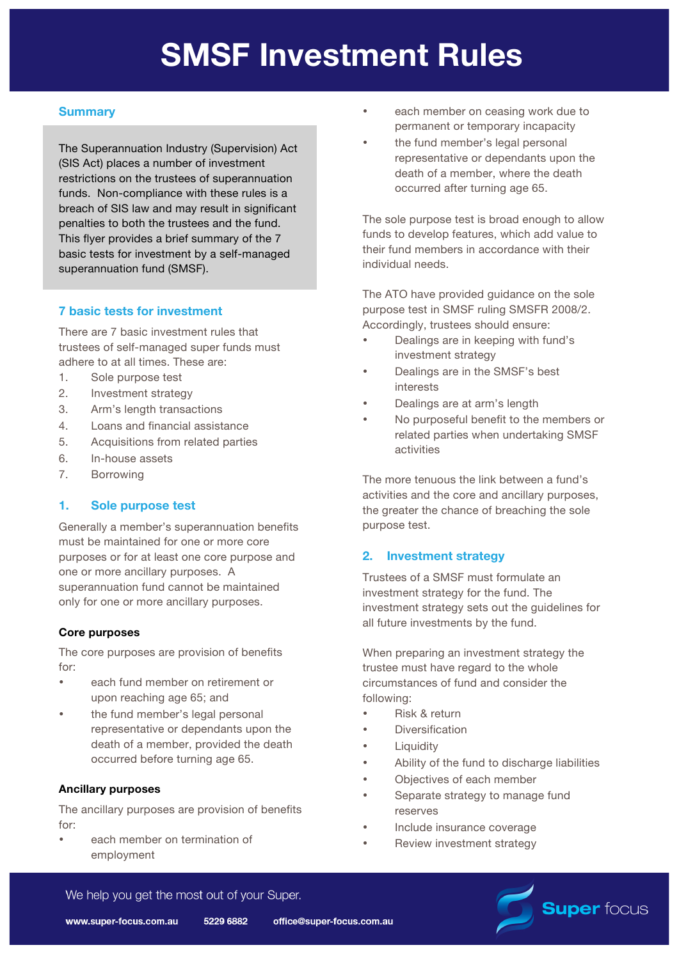# **SMSF Investment Rules**

## **Summary**

The Superannuation Industry (Supervision) Act (SIS Act) places a number of investment restrictions on the trustees of superannuation funds. Non-compliance with these rules is a breach of SIS law and may result in significant penalties to both the trustees and the fund. This flyer provides a brief summary of the 7 basic tests for investment by a self-managed superannuation fund (SMSF).

### **7 basic tests for investment**

There are 7 basic investment rules that trustees of self-managed super funds must adhere to at all times. These are:

- 1. Sole purpose test
- 2. Investment strategy
- 3. Arm's length transactions
- 4. Loans and financial assistance
- 5. Acquisitions from related parties
- 6. In-house assets
- 7. Borrowing

#### **1. Sole purpose test**

Generally a member's superannuation benefits must be maintained for one or more core purposes or for at least one core purpose and one or more ancillary purposes. A superannuation fund cannot be maintained only for one or more ancillary purposes.

#### **Core purposes**

The core purposes are provision of benefits for:

- each fund member on retirement or upon reaching age 65; and
- the fund member's legal personal representative or dependants upon the death of a member, provided the death occurred before turning age 65.

#### **Ancillary purposes**

The ancillary purposes are provision of benefits for:

each member on termination of employment

- each member on ceasing work due to permanent or temporary incapacity
- the fund member's legal personal representative or dependants upon the death of a member, where the death occurred after turning age 65.

The sole purpose test is broad enough to allow funds to develop features, which add value to their fund members in accordance with their individual needs.

The ATO have provided guidance on the sole purpose test in SMSF ruling SMSFR 2008/2. Accordingly, trustees should ensure:

- Dealings are in keeping with fund's investment strategy
- Dealings are in the SMSF's best interests
- Dealings are at arm's length
- No purposeful benefit to the members or related parties when undertaking SMSF activities

The more tenuous the link between a fund's activities and the core and ancillary purposes, the greater the chance of breaching the sole purpose test.

#### **2. Investment strategy**

Trustees of a SMSF must formulate an investment strategy for the fund. The investment strategy sets out the guidelines for all future investments by the fund.

When preparing an investment strategy the trustee must have regard to the whole circumstances of fund and consider the following:

- Risk & return
- **Diversification**
- **Liquidity**
- Ability of the fund to discharge liabilities
- Objectives of each member
- Separate strategy to manage fund reserves
- Include insurance coverage
- Review investment strategy



We help you get the most out of your Super.